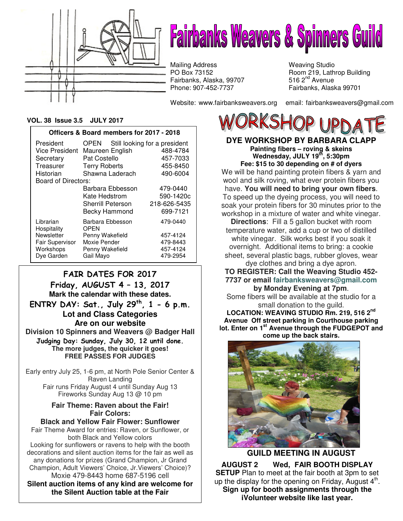

# **Fairbanks Weavers & Spinners Guild**

Mailing Address Weaving Studio<br>
PO Box 73152 Mexico Room 219, Lath Fairbanks, Alaska, 99707<br>Phone: 907-452-7737

Website: www.fairbanksweavers.org email: fairbanksweavers@gmail.com

Room 219, Lathrop Building<br>516  $2<sup>nd</sup>$  Avenue Fairbanks, Alaska 99701

#### **VOL. 38 Issue 3.5 JULY 2017**

| Officers & Board members for 2017 - 2018            |                                    |                                          |                                                   |
|-----------------------------------------------------|------------------------------------|------------------------------------------|---------------------------------------------------|
| President                                           | OPEN                               |                                          | Still looking for a president                     |
| <b>Vice President</b>                               | Maureen English                    |                                          | 488-4784                                          |
| Secretary                                           | Pat Costello                       |                                          | 457-7033                                          |
| Treasurer                                           | <b>Terry Roberts</b>               |                                          | 455-8450                                          |
| Shawna Laderach<br>Historian<br>Board of Directors: |                                    |                                          | 490-6004                                          |
|                                                     | Kate Hedstrom<br>Sherrill Peterson | Barbara Ebbesson<br><b>Becky Hammond</b> | 479-0440<br>590-1420c<br>218-626-5435<br>699-7121 |
| Librarian<br>Hospitality                            | Barbara Ebbesson<br><b>OPEN</b>    |                                          | 479-0440                                          |
| Newsletter                                          | Penny Wakefield                    |                                          | 457-4124                                          |
| <b>Fair Supervisor</b>                              | Moxie Pender                       |                                          | 479-8443                                          |
| Workshops                                           | Penny Wakefield                    |                                          | 457-4124                                          |
| Dye Garden                                          | Gail Mayo                          |                                          | 479-2954                                          |

# FAIR DATES FOR 2017

Friday, AUGUST 4 – 13, 2017 **Mark the calendar with these dates.**  ENTRY DAY: Sat., July  $29<sup>th</sup>$ , 1 - 6 p.m. **Lot and Class Categories Are on our website Division 10 Spinners and Weavers @ Badger Hall** Judging Day: Sunday, July 30, 12 until done. **The more judges, the quicker it goes! FREE PASSES FOR JUDGES** 

Early entry July 25, 1-6 pm, at North Pole Senior Center & Raven Landing Fair runs Friday August 4 until Sunday Aug 13 Fireworks Sunday Aug 13 @ 10 pm

## **Fair Theme: Raven about the Fair! Fair Colors:**

**Black and Yellow Fair Flower: Sunflower**  Fair Theme Award for entries: Raven, or Sunflower, or both Black and Yellow colors Looking for sunflowers or ravens to help with the booth decorations and silent auction items for the fair as well as any donations for prizes (Grand Champion, Jr Grand Champion, Adult Viewers' Choice, Jr.Viewers' Choice)? Moxie 479-8443 home 687-5196 cell **Silent auction items of any kind are welcome for the Silent Auction table at the Fair**

**DYE WORKSHOP BY BARBARA CLAPP Painting fibers – roving & skeins Wednesday, JULY 19th, 5:30pm Fee: \$15 to 30 depending on # of dyers**  We will be hand painting protein fibers & yarn and wool and silk roving, what ever protein fibers you have. **You will need to bring your own fibers**. To speed up the dyeing process, you will need to soak your protein fibers for 30 minutes prior to the workshop in a mixture of water and white vinegar.

**Directions**: Fill a 5 gallon bucket with room temperature water, add a cup or two of distilled white vinegar. Silk works best if you soak it overnight. Additional items to bring: a cookie sheet, several plastic bags, rubber gloves, wear

dye clothes and bring a dye apron. **TO REGISTER: Call the Weaving Studio 452- 7737 or email fairbanksweavers@gmail.com by Monday Evening at 7pm**.

Some fibers will be available at the studio for a small donation to the guild.

**LOCATION: WEAVING STUDIO Rm. 219, 516 2nd Avenue Off street parking in Courthouse parking lot. Enter on 1st Avenue through the FUDGEPOT and come up the back stairs.**



**GUILD MEETING IN AUGUST** 

**AUGUST 2 Wed, FAIR BOOTH DISPLAY SETUP** Plan to meet at the fair booth at 3pm to set up the display for the opening on Friday, August  $4<sup>th</sup>$ . **Sign up for booth assignments through the iVolunteer website like last year.**